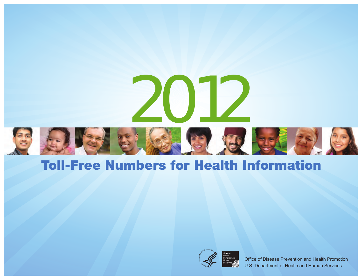



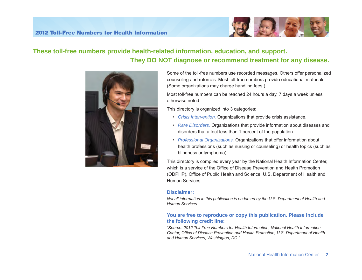

## **These toll-free numbers provide health-related information, education, and support. They DO NOT diagnose or recommend treatment for any disease.**



Some of the toll-free numbers use recorded messages. Others offer personalized counseling and referrals. Most toll-free numbers provide educational materials. (Some organizations may charge handling fees.)

Most toll-free numbers can be reached 24 hours a day, 7 days a week unless otherwise noted.

This directory is organized into 3 categories:

- • *Crisis Intervention.* Organizations that provide crisis assistance.
- *Rare Disorders.* Organizations that provide information about diseases and disorders that affect less than 1 percent of the population.
- *Professional Organizations.* Organizations that offer information about health professions (such as nursing or counseling) or health topics (such as blindness or lymphoma).

This directory is compiled every year by the National Health Information Center, which is a service of the Office of Disease Prevention and Health Promotion (ODPHP), Office of Public Health and Science, U.S. Department of Health and Human Services.

#### **Disclaimer:**

*Not all information in this publication is endorsed by the U.S. Department of Health and Human Services.* 

#### **You are free to reproduce or copy this publication. Please include the following credit line:**

*"Source: 2012 Toll-Free Numbers for Health Information, National Health Information Center, Office of Disease Prevention and Health Promotion, U.S. Department of Health and Human Services, Washington, DC."*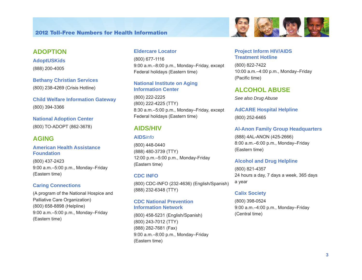### **ADOPTION**

**AdoptUSKids**  (888) 200-4005

**Bethany Christian Services**  (800) 238-4269 (Crisis Hotline)

**Child Welfare Information Gateway**  (800) 394-3366

**National Adoption Center**  (800) TO-ADOPT (862-3678)

### **AGING**

**American Health Assistance Foundation** 

(800) 437-2423 9:00 a.m.–5:00 p.m., Monday–Friday (Eastern time)

#### **Caring Connections**

(A program of the National Hospice and Palliative Care Organization) (800) 658-8898 (Helpline) 9:00 a.m.–5:00 p.m., Monday–Friday (Eastern time)

#### **Eldercare Locator**

(800) 677-1116 9:00 a.m.–8:00 p.m., Monday–Friday, except Federal holidays (Eastern time)

#### **National Institute on Aging Information Center**

(800) 222-2225 (800) 222-4225 (TTY) 8:30 a.m.–5:00 p.m., Monday–Friday, except Federal holidays (Eastern time)

### **AIDS/HIV**

### **AIDS***info*

(800) 448-0440 (888) 480-3739 (TTY) 12:00 p.m.–5:00 p.m., Monday-Friday (Eastern time)

### **CDC INFO**

(800) CDC-INFO (232-4636) (English/Spanish) (888) 232-6348 (TTY)

#### **CDC National Prevention Information Network**

(800) 458-5231 (English/Spanish) (800) 243-7012 (TTY) (888) 282-7681 (Fax) 9:00 a.m.–8:00 p.m., Monday–Friday (Eastern time)



#### **Project Inform HIV/AIDS Treatment Hotline**

(800) 822-7422 10:00 a.m.–4:00 p.m., Monday–Friday (Pacific time)

### **ALCOHOL ABUSE**

*See also Drug Abuse* 

**AdCARE Hospital Helpline** 

(800) 252-6465

#### **Al-Anon Family Group Headquarters**

(888) 4AL-ANON (425-2666) 8:00 a.m.–6:00 p.m., Monday–Friday (Eastern time)

#### **Alcohol and Drug Helpline**

(800) 821-4357 24 hours a day, 7 days a week, 365 days a year

#### **Calix Society**

(800) 398-0524 9:00 a.m.–4:00 p.m., Monday–Friday (Central time)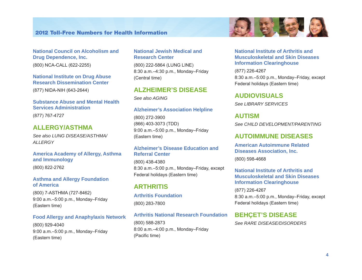#### **National Council on Alcoholism and Drug Dependence, Inc.**

(800) NCA-CALL (622-2255)

### **National Institute on Drug Abuse Research Dissemination Center**

(877) NIDA-NIH (643-2644)

#### **Substance Abuse and Mental Health Services Administration**

(877) 767-4727

### **ALLERGY/ASTHMA**

*See also LUNG DISEASE/ASTHMA/ ALLERGY* 

### **America Academy of Allergy, Asthma and Immunology**

(800) 822-2762

#### **Asthma and Allergy Foundation of America**

(800) 7-ASTHMA (727-8462) 9:00 a.m.–5:00 p.m., Monday–Friday (Eastern time)

#### **Food Allergy and Anaphylaxis Network**

(800) 929-4040 9:00 a.m.–5:00 p.m., Monday–Friday (Eastern time)

#### **National Jewish Medical and Research Center**

(800) 222-5864 (LUNG LINE) 8:30 a.m.–4:30 p.m., Monday–Friday (Central time)

### **ALZHEIMER'S DISEASE**

*See also AGING* 

#### **Alzheimer's Association Helpline**

(800) 272-3900 (866) 403-3073 (TDD) 9:00 a.m.–5:00 p.m., Monday–Friday (Eastern time)

#### **Alzheimer's Disease Education and Referral Center**

(800) 438-4380 8:30 a.m.–5:00 p.m., Monday–Friday, except Federal holidays (Eastern time)

### **ARTHRITIS**

**Arthritis Foundation**  (800) 283-7800

#### **Arthritis National Research Foundation**

(800) 588-2873 8:00 a.m.–4:00 p.m., Monday–Friday (Pacific time)

#### **National Institute of Arthritis and Musculoskeletal and Skin Diseases Information Clearinghouse**

(877) 226-4267 8:30 a.m.–5:00 p.m., Monday–Friday, except Federal holidays (Eastern time)

#### **AUDIOVISUALS**

*See LIBRARY SERVICES* 

#### **AUTISM**

*See CHILD DEVELOPMENT/PARENTING* 

### **AUTOIMMUNE DISEASES**

**American Autoimmune Related Diseases Association, Inc.** 

(800) 598-4668

#### **National Institute of Arthritis and Musculoskeletal and Skin Diseases Information Clearinghouse**

(877) 226-4267 8:30 a.m.–5:00 p.m., Monday–Friday, except Federal holidays (Eastern time)

### **BEHÇET'S DISEASE**

*See RARE DISEASE/DISORDERS* 

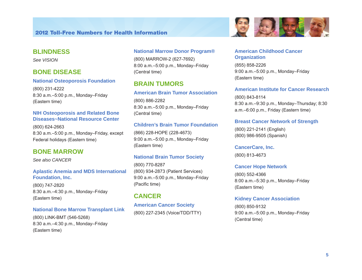### **BLINDNESS**

*See VISION* 

### **BONE DISEASE**

#### **National Osteoporosis Foundation**

(800) 231-4222 8:30 a.m.–5:00 p.m., Monday–Friday (Eastern time)

#### **NIH Osteoporosis and Related Bone Diseases~National Resource Center**

(800) 624-2663 8:30 a.m.–5:00 p.m., Monday–Friday, except Federal holidays (Eastern time)

### **BONE MARROW**

*See also CANCER* 

#### **Aplastic Anemia and MDS International Foundation, Inc.**

(800) 747-2820 8:30 a.m.–4:30 p.m., Monday–Friday (Eastern time)

#### **National Bone Marrow Transplant Link**

(800) LINK-BMT (546-5268) 8:30 a.m.–4:30 p.m., Monday–Friday (Eastern time)

### **National Marrow Donor Program®**

(800) MARROW-2 (627-7692) 8:00 a.m.–5:00 p.m., Monday–Friday (Central time)

## **BRAIN TUMORS**

### **American Brain Tumor Association**

(800) 886-2282 8:30 a.m.–5:00 p.m., Monday–Friday (Central time)

### **Children's Brain Tumor Foundation**

(866) 228-HOPE (228-4673) 9:00 a.m.–5:00 p.m., Monday–Friday (Eastern time)

### **National Brain Tumor Society**

(800) 770-8287 (800) 934-2873 (Patient Services) 9:00 a.m.–5:00 p.m., Monday–Friday (Pacific time)

### **CANCER**

**American Cancer Society**  (800) 227-2345 (Voice/TDD/TTY)

#### **American Childhood Cancer Organization**

(855) 858-2226 9:00 a.m.–5:00 p.m., Monday–Friday (Eastern time)

#### **American Institute for Cancer Research**

**国外工作** 

(800) 843-8114 8:30 a.m.–9:30 p.m., Monday–Thursday; 8:30 a.m.–6:00 p.m., Friday (Eastern time)

#### **Breast Cancer Network of Strength**

(800) 221-2141 (English) (800) 986-9505 (Spanish)

#### **CancerCare, Inc.**

(800) 813-4673

#### **Cancer Hope Network**

(800) 552-4366 8:00 a.m.–5:30 p.m., Monday–Friday (Eastern time)

#### **Kidney Cancer Association**

(800) 850-9132 9:00 a.m.–5:00 p.m., Monday–Friday (Central time)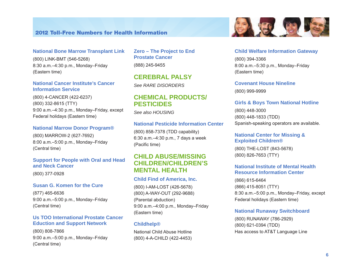#### **National Bone Marrow Transplant Link**

(800) LINK-BMT (546-5268) 8:30 a.m.–4:30 p.m., Monday–Friday (Eastern time)

#### **National Cancer Institute's Cancer Information Service**

(800) 4-CANCER (422-6237) (800) 332-8615 (TTY) 9:00 a.m.–4:30 p.m., Monday–Friday, except Federal holidays (Eastern time)

#### **National Marrow Donor Program®**

(800) MARROW-2 (627-7692) 8:00 a.m.–5:00 p.m., Monday–Friday (Central time)

### **Support for People with Oral and Head and Neck Cancer**

(800) 377-0928

#### **Susan G. Komen for the Cure**

(877) 465-6636 9:00 a.m.–5:00 p.m., Monday–Friday (Central time)

#### **Us TOO International Prostate Cancer Eduction and Support Network**

(800) 808-7866 9:00 a.m.–5:00 p.m., Monday–Friday (Central time)

**Zero – The Project to End Prostate Cancer**  (888) 245-9455

**CEREBRAL PALSY**  *See RARE DISORDERS* 

### **CHEMICAL PRODUCTS/ PESTICIDES**

*See also HOUSING* 

#### **National Pesticide Information Center**

(800) 858-7378 (TDD capability) 6:30 a.m.–4:30 p.m., 7 days a week (Pacific time)

### **CHILD ABUSE/MISSING CHILDREN/CHILDREN'S MENTAL HEALTH**

#### **Child Find of America, Inc.**

(800) I-AM-LOST (426-5678) (800) A-WAY-OUT (292-9688) (Parental abduction) 9:00 a.m.–4:00 p.m., Monday–Friday (Eastern time)

#### **Childhelp®**

National Child Abuse Hotline (800) 4-A-CHILD (422-4453)



#### **Child Welfare Information Gateway**

(800) 394-3366 8:00 a.m.–5:30 p.m., Monday–Friday (Eastern time)

#### **Covenant House Nineline**

(800) 999-9999

#### **Girls & Boys Town National Hotline**

(800) 448-3000 (800) 448-1833 (TDD) Spanish-speaking operators are available.

#### **National Center for Missing & Exploited Children®**

(800) THE-LOST (843-5678) (800) 826-7653 (TTY)

#### **National Institute of Mental Health Resource Information Center**

(866) 615-6464 (866) 415-8051 (TTY) 8:30 a.m.–5:00 p.m., Monday–Friday, except Federal holidays (Eastern time)

#### **National Runaway Switchboard**

(800) RUNAWAY (786-2929) (800) 621-0394 (TDD) Has access to AT&T Language Line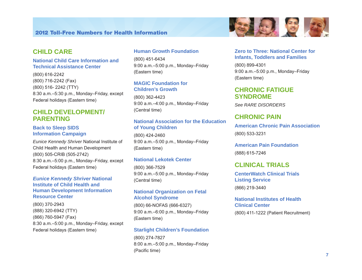### **CHILD CARE**

#### **National Child Care Information and Technical Assistance Center**

(800) 616-2242 (800) 716-2242 (Fax) (800) 516- 2242 (TTY) 8:30 a.m.–5:30 p.m., Monday–Friday, except Federal holidays (Eastern time)

### **CHILD DEVELOPMENT/ PARENTING**

#### **Back to Sleep SIDS Information Campaign**

*Eunice Kennedy Shriver* National Institute of Child Health and Human Development (800) 505-CRIB (505-2742) 8:30 a.m.–5:00 p.m., Monday–Friday, except Federal holidays (Eastern time)

#### *Eunice Kennedy Shriver* **National Institute of Child Health and Human Development Information Resource Center**

(800) 370-2943 (888) 320-6942 (TTY) (866) 760-5947 (Fax) 8:30 a.m.–5:00 p.m., Monday–Friday, except Federal holidays (Eastern time)

#### **Human Growth Foundation**

(800) 451-6434 9:00 a.m.–5:00 p.m., Monday–Friday (Eastern time)

#### **MAGIC Foundation for Children's Growth**

(800) 362-4423 9:00 a.m.–4:00 p.m., Monday–Friday (Central time)

### **National Association for the Education of Young Children**

(800) 424-2460 9:00 a.m.–5:00 p.m., Monday–Friday (Eastern time)

#### **National Lekotek Center**

(800) 366-7529 9:00 a.m.–5:00 p.m., Monday–Friday (Central time)

#### **National Organization on Fetal Alcohol Syndrome**

(800) 66-NOFAS (666-6327) 9:00 a.m.–6:00 p.m., Monday–Friday (Eastern time)

#### **Starlight Children's Foundation**

(800) 274-7827 8:00 a.m.–5:00 p.m., Monday–Friday (Pacific time)

### **Zero to Three: National Center for Infants, Toddlers and Families**

(800) 899-4301 9:00 a.m.–5:00 p.m., Monday–Friday (Eastern time)

### **CHRONIC FATIGUE SYNDROME**

*See RARE DISORDERS* 

### **CHRONIC PAIN**

**American Chronic Pain Association**  (800) 533-3231

**American Pain Foundation**  (888) 615-7246

### **CLINICAL TRIALS**

**CenterWatch Clinical Trials Listing Service**  (866) 219-3440

#### **National Institutes of Health Clinical Center**

(800) 411-1222 (Patient Recruitment)

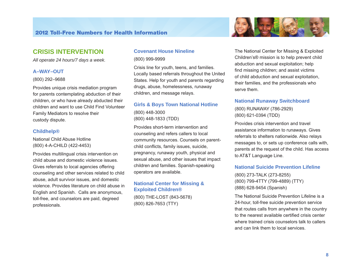

### **CRISIS INTERVENTION**

*All operate 24 hours/7 days a week.* 

#### **A–WAY–OUT**

(800) 292–9688

Provides unique crisis mediation program for parents contemplating abduction of their children, or who have already abducted their children and want to use Child Find Volunteer Family Mediators to resolve their custody dispute.

#### **Childhelp®**

National Child Abuse Hotline (800) 4-A-CHILD (422-4453)

Provides multilingual crisis intervention on child abuse and domestic violence issues. Gives referrals to local agencies offering counseling and other services related to child abuse, adult survivor issues, and domestic violence. Provides literature on child abuse in English and Spanish. Calls are anonymous, toll-free, and counselors are paid, degreed professionals.

#### **Covenant House Nineline**

(800) 999-9999

Crisis line for youth, teens, and families. Locally based referrals throughout the United States. Help for youth and parents regarding drugs, abuse, homelessness, runaway children, and message relays.

#### **Girls & Boys Town National Hotline**

(800) 448-3000 (800) 448-1833 (TDD)

Provides short-term intervention and counseling and refers callers to local community resources. Counsels on parentchild conflicts, family issues, suicide, pregnancy, runaway youth, physical and sexual abuse, and other issues that impact children and families. Spanish-speaking operators are available.

#### **National Center for Missing & Exploited Children®**

(800) THE-LOST (843-5678) (800) 826-7653 (TTY)

The National Center for Missing & Exploited Children's® mission is to help prevent child abduction and sexual exploitation; help find missing children; and assist victims of child abduction and sexual exploitation, their families, and the professionals who serve them.

#### **National Runaway Switchboard**

(800) RUNAWAY (786-2929) (800) 621-0394 (TDD)

Provides crisis intervention and travel assistance information to runaways. Gives referrals to shelters nationwide. Also relays messages to, or sets up conference calls with, parents at the request of the child. Has access to AT&T Language Line.

#### **National Suicide Prevention Lifeline**

(800) 273-TALK (273-8255) (800) 799-4TTY (799-4889) (TTY) (888) 628-9454 (Spanish)

The National Suicide Prevention Lifeline is a 24-hour, toll-free suicide prevention service that routes calls from anywhere in the country to the nearest available certified crisis center where trained crisis counselors talk to callers and can link them to local services.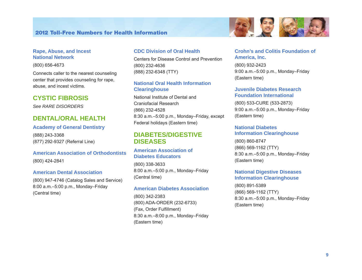#### **Rape, Abuse, and Incest National Network**

(800) 656-4673

Connects caller to the nearest counseling center that provides counseling for rape, abuse, and incest victims.

### **CYSTIC FIBROSIS**

*See RARE DISORDERS* 

### **DENTAL/ORAL HEALTH**

#### **Academy of General Dentistry**

(888) 243-3368 (877) 292-9327 (Referral Line)

### **American Association of Orthodontists**  (800) 424-2841

#### **American Dental Association**

(800) 947-4746 (Catalog Sales and Service) 8:00 a.m.–5:00 p.m., Monday–Friday (Central time)

#### **CDC Division of Oral Health**

Centers for Disease Control and Prevention (800) 232-4636 (888) 232-6348 (TTY)

#### **National Oral Health Information Clearinghouse**

National Institute of Dental and Craniofacial Research (866) 232-4528 8:30 a.m.–5:00 p.m., Monday–Friday, except Federal holidays (Eastern time)

### **DIABETES/DIGESTIVE DISEASES**

#### **American Association of Diabetes Educators**

(800) 338-3633 8:00 a.m.–5:00 p.m., Monday–Friday (Central time)

#### **American Diabetes Association**

(800) 342-2383 (800) ADA-ORDER (232-6733) (Fax, Order Fulfillment) 8:30 a.m.–8:00 p.m., Monday–Friday (Eastern time)

#### **Crohn's and Colitis Foundation of America, Inc.**

(800) 932-2423 9:00 a.m.–5:00 p.m., Monday–Friday (Eastern time)

#### **Juvenile Diabetes Research Foundation International**

(800) 533-CURE (533-2873) 9:00 a.m.–5:00 p.m., Monday–Friday (Eastern time)

#### **National Diabetes Information Clearinghouse**

(800) 860-8747 (866) 569-1162 (TTY) 8:30 a.m.–5:00 p.m., Monday–Friday (Eastern time)

#### **National Digestive Diseases Information Clearinghouse**

(800) 891-5389 (866) 569-1162 (TTY) 8:30 a.m.–5:00 p.m., Monday–Friday (Eastern time)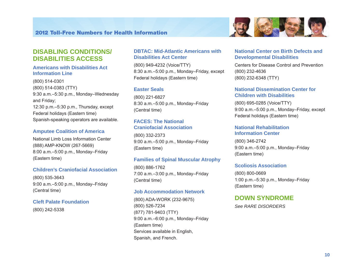



#### **Americans with Disabilities Act Information Line**

(800) 514-0301 (800) 514-0383 (TTY) 9:30 a.m.–5:30 p.m., Monday–Wednesday and Friday; 12:30 p.m.–5:30 p.m., Thursday, except Federal holidays (Eastern time) Spanish-speaking operators are available.

#### **Amputee Coalition of America**

National Limb Loss Information Center (888) AMP-KNOW (267-5669) 8:00 a.m.–5:00 p.m., Monday–Friday (Eastern time)

#### **Children's Craniofacial Association**

(800) 535-3643 9:00 a.m.–5:00 p.m., Monday–Friday (Central time)

#### **Cleft Palate Foundation**

(800) 242-5338

#### **DBTAC: Mid-Atlantic Americans with Disabilities Act Center**

(800) 949-4232 (Voice/TTY) 8:30 a.m.–5:00 p.m., Monday–Friday, except Federal holidays (Eastern time)

#### **Easter Seals**

(800) 221-6827 8:30 a.m.–5:00 p.m., Monday–Friday (Central time)

#### **FACES: The National Craniofacial Association**

(800) 332-2373 9:00 a.m.–5:00 p.m., Monday–Friday (Eastern time)

#### **Families of Spinal Muscular Atrophy**

(800) 886-1762 7:00 a.m.–3:00 p.m., Monday–Friday (Central time)

#### **Job Accommodation Network**

(800) ADA-WORK (232-9675) (800) 526-7234 (877) 781-9403 (TTY) 9:00 a.m.–6:00 p.m., Monday–Friday (Eastern time) Services available in English, Spanish, and French.

#### **National Center on Birth Defects and Developmental Disabilities**

Centers for Disease Control and Prevention (800) 232-4636 (800) 232-6348 (TTY)

#### **National Dissemination Center for Children with Disabilities**

(800) 695-0285 (Voice/TTY) 9:00 a.m.–5:00 p.m., Monday–Friday, except Federal holidays (Eastern time)

#### **National Rehabilitation Information Center**

(800) 346-2742 9:00 a.m.–5:00 p.m., Monday–Friday (Eastern time)

#### **Scoliosis Association**

(800) 800-0669 1:00 p.m.–5:30 p.m., Monday–Friday (Eastern time)

#### **DOWN SYNDROME**

*See RARE DISORDERS*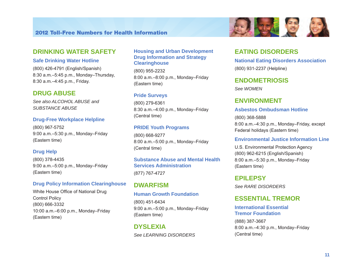

#### **Safe Drinking Water Hotline**

(800) 426-4791 (English/Spanish) 8:30 a.m.–5:45 p.m., Monday–Thursday, 8:30 a.m.–4:45 p.m., Friday.

### **DRUG ABUSE**

*See also ALCOHOL ABUSE and SUBSTANCE ABUSE* 

#### **Drug-Free Workplace Helpline**

(800) 967-5752 9:00 a.m.–5:30 p.m., Monday–Friday (Eastern time)

#### **Drug Help**

(800) 378-4435 9:00 a.m.–5:00 p.m., Monday–Friday (Eastern time)

#### **Drug Policy Information Clearinghouse**

White House Office of National Drug Control Policy (800) 666-3332 10:00 a.m.–6:00 p.m., Monday–Friday (Eastern time)

#### **Housing and Urban Development Drug Information and Strategy Clearinghouse**

(800) 955-2232 8:00 a.m.–8:00 p.m., Monday–Friday (Eastern time)

#### **Pride Surveys**

(800) 279-6361 8:30 a.m.–4:00 p.m., Monday–Friday (Central time)

#### **PRIDE Youth Programs**

(800) 668-9277 8:00 a.m.–5:00 p.m., Monday–Friday (Central time)

#### **Substance Abuse and Mental Health Services Administration**  (877) 767-4727

### **DWARFISM**

#### **Human Growth Foundation**

(800) 451-6434 9:00 a.m.–5:00 p.m., Monday–Friday (Eastern time)

### **DYSLEXIA**

*See LEARNING DISORDERS* 

### **EATING DISORDERS**

**National Eating Disorders Association**  (800) 931-2237 (Helpline)

**Professor (25)** 

### **ENDOMETRIOSIS**

*See WOMEN* 

### **ENVIRONMENT**

#### **Asbestos Ombudsman Hotline**

(800) 368-5888 8:00 a.m.–4:30 p.m., Monday–Friday, except Federal holidays (Eastern time)

#### **Environmental Justice Information Line**

U.S. Environmental Protection Agency (800) 962-6215 (English/Spanish) 8:00 a.m.–5:30 p.m., Monday–Friday (Eastern time)

### **EPILEPSY**

*See RARE DISORDERS* 

### **ESSENTIAL TREMOR**

#### **International Essential Tremor Foundation**

(888) 387-3667 8:00 a.m.–4:30 p.m., Monday–Friday (Central time)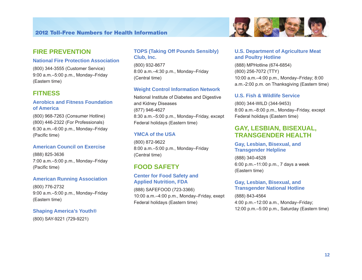

#### **National Fire Protection Association**

(800) 344-3555 (Customer Service) 9:00 a.m.–5:00 p.m., Monday–Friday (Eastern time)

### **FITNESS**

#### **Aerobics and Fitness Foundation of America**

(800) 968-7263 (Consumer Hotline) (800) 446-2322 (For Professionals) 6:30 a.m.–6:00 p.m., Monday–Friday (Pacific time)

#### **American Council on Exercise**

(888) 825-3636 7:00 a.m.–5:00 p.m., Monday–Friday (Pacific time)

#### **American Running Association**

(800) 776-2732 9:00 a.m.–5:00 p.m., Monday–Friday (Eastern time)

#### **Shaping America's Youth®**

(800) SAY-9221 (729-9221)

### **TOPS (Taking Off Pounds Sensibly) Club, Inc.**

(800) 932-8677 8:00 a.m.–4:30 p.m., Monday–Friday (Central time)

#### **Weight Control Information Network**

National Institute of Diabetes and Digestive and Kidney Diseases (877) 946-4627 8:30 a.m.–5:00 p.m., Monday–Friday, except Federal holidays (Eastern time)

#### **YMCA of the USA**

(800) 872-9622 8:00 a.m.–5:00 p.m., Monday–Friday (Central time)

### **FOOD SAFETY**

#### **Center for Food Safety and Applied Nutrition, FDA**

(888) SAFEFOOD (723-3366) 10:00 a.m.–4:00 p.m., Monday–Friday, exept Federal holidays (Eastern time)

#### **U.S. Department of Agriculture Meat and Poultry Hotline**

(888) MPHotline (674-6854) (800) 256-7072 (TTY) 10:00 a.m.–4:00 p.m., Monday–Friday; 8:00 a.m.-2:00 p.m. on Thanksgiving (Eastern time)

#### **U.S. Fish & Wildlife Service**

(800) 344-WILD (344-9453) 8:00 a.m.–8:00 p.m., Monday–Friday, except Federal holidays (Eastern time)

### **GAY, LESBIAN, BISEXUAL, TRANSGENDER HEALTH**

#### **Gay, Lesbian, Bisexual, and Transgender Helpline**

(888) 340-4528 6:00 p.m.–11:00 p.m., 7 days a week (Eastern time)

#### **Gay, Lesbian, Bisexual, and Transgender National Hotline**

(888) 843-4564 4:00 p.m.–12:00 a.m., Monday–Friday; 12:00 p.m.–5:00 p.m., Saturday (Eastern time)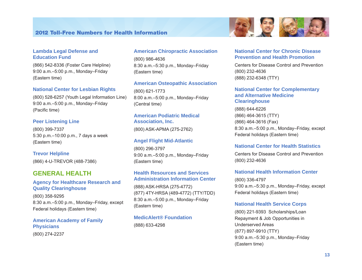#### **Lambda Legal Defense and Education Fund**

(866) 542-8336 (Foster Care Helpline) 9:00 a.m.–5:00 p.m., Monday–Friday (Eastern time)

#### **National Center for Lesbian Rights**

(800) 528-6257 (Youth Legal Information Line) 9:00 a.m.–5:00 p.m., Monday–Friday (Pacific time)

#### **Peer Listening Line**

(800) 399-7337 5:30 p.m.–10:00 p.m., 7 days a week (Eastern time)

#### **Trevor Helpline**

(866) 4-U-TREVOR (488-7386)

### **GENERAL HEALTH**

#### **Agency for Healthcare Research and Quality Clearinghouse**

(800) 358-9295 8:30 a.m.–5:00 p.m., Monday–Friday, except Federal holidays (Eastern time)

#### **American Academy of Family Physicians**

(800) 274-2237

#### **American Chiropractic Association**

(800) 986-4636 8:30 a.m.–5:30 p.m., Monday–Friday (Eastern time)

#### **American Osteopathic Association**

(800) 621-1773 8:00 a.m.–5:00 p.m., Monday–Friday (Central time)

#### **American Podiatric Medical Association, Inc.**

(800) ASK-APMA (275-2762)

#### **Angel Flight Mid-Atlantic**

(800) 296-3797 9:00 a.m.–5:00 p.m., Monday–Friday (Eastern time)

#### **Health Resources and Services Administration Information Center**

(888) ASK-HRSA (275-4772) (877) 4TY-HRSA (489-4772) (TTY/TDD) 8:30 a.m.–5:00 p.m., Monday–Friday (Eastern time)

#### **MedicAlert® Foundation**

(888) 633-4298

#### **National Center for Chronic Disease Prevention and Health Promotion**

Centers for Disease Control and Prevention (800) 232-4636 (888) 232-6348 (TTY)

#### **National Center for Complementary and Alternative Medicine Clearinghouse**

(888) 644-6226 (866) 464-3615 (TTY) (866) 464-3616 (Fax) 8:30 a.m.–5:00 p.m., Monday–Friday, except Federal holidays (Eastern time)

#### **National Center for Health Statistics**

Centers for Disease Control and Prevention (800) 232-4636

#### **National Health Information Center**

(800) 336-4797 9:00 a.m.–5:30 p.m., Monday–Friday, except Federal holidays (Eastern time)

#### **National Health Service Corps**

(800) 221-9393 Scholarships/Loan Repayment & Job Opportunities in Underserved Areas (877) 897-9910 (TTY) 9:00 a.m.–5:30 p.m., Monday–Friday (Eastern time)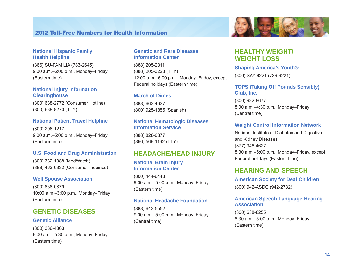#### **National Hispanic Family Health Helpline**

(866) SU-FAMILIA (783-2645) 9:00 a.m.–6:00 p.m., Monday–Friday (Eastern time)

#### **National Injury Information Clearinghouse**

(800) 638-2772 (Consumer Hotline) (800) 638-8270 (TTY)

#### **National Patient Travel Helpline**

(800) 296-1217 9:00 a.m.–5:00 p.m., Monday–Friday (Eastern time)

#### **U.S. Food and Drug Administration**

(800) 332-1088 (MedWatch) (888) 463-6332 (Consumer Inquiries)

#### **Well Spouse Association**

(800) 838-0879 10:00 a.m.–3:00 p.m., Monday–Friday (Eastern time)

### **GENETIC DISEASES**

#### **Genetic Alliance**

(800) 336-4363 9:00 a.m.–5:30 p.m., Monday–Friday (Eastern time)

#### **Genetic and Rare Diseases Information Center**

(888) 205-2311 (888) 205-3223 (TTY) 12:00 p.m.–6:00 p.m., Monday–Friday, except Federal holidays (Eastern time)

#### **March of Dimes**

(888) 663-4637 (800) 925-1855 (Spanish)

#### **National Hematologic Diseases Information Service**

(888) 828-0877 (866) 569-1162 (TTY)

### **HEADACHE/HEAD INJURY**

#### **National Brain Injury Information Center**

(800) 444-6443 9:00 a.m.–5:00 p.m., Monday–Friday (Eastern time)

#### **National Headache Foundation**

(888) 643-5552 9:00 a.m.–5:00 p.m., Monday–Friday (Central time)

### **HEALTHY WEIGHT/ WEIGHT LOSS**

**Shaping America's Youth®**  (800) SAY-9221 (729-9221)

#### **TOPS (Taking Off Pounds Sensibly) Club, Inc.**

(800) 932-8677 8:00 a.m.–4:30 p.m., Monday–Friday (Central time)

#### **Weight Control Information Network**

National Institute of Diabetes and Digestive and Kidney Diseases (877) 946-4627 8:30 a.m.–5:00 p.m., Monday–Friday, except Federal holidays (Eastern time)

### **HEARING AND SPEECH**

**American Society for Deaf Children**  (800) 942-ASDC (942-2732)

#### **American Speech-Language-Hearing Association**

(800) 638-8255 8:30 a.m.–5:00 p.m., Monday–Friday (Eastern time)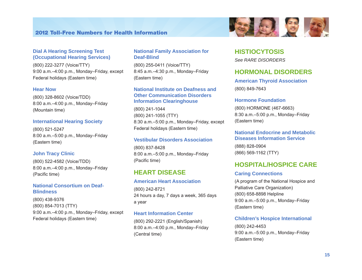

(800) 222-3277 (Voice/TTY) 9:00 a.m.–4:00 p.m., Monday–Friday, except Federal holidays (Eastern time)

#### **Hear Now**

(800) 328-8602 (Voice/TDD) 8:00 a.m.–4:00 p.m., Monday–Friday (Mountain time)

#### **International Hearing Society**

(800) 521-5247 8:00 a.m.–5:00 p.m., Monday–Friday (Eastern time)

#### **John Tracy Clinic**

(800) 522-4582 (Voice/TDD) 8:00 a.m.–4:00 p.m., Monday–Friday (Pacific time)

#### **National Consortium on Deaf-Blindness**

(800) 438-9376 (800) 854-7013 (TTY) 9:00 a.m.–4:00 p.m., Monday–Friday, except Federal holidays (Eastern time)

#### **National Family Association for Deaf-Blind**

(800) 255-0411 (Voice/TTY) 8:45 a.m.–4:30 p.m., Monday–Friday (Eastern time)

#### **National Institute on Deafness and Other Communication Disorders Information Clearinghouse**

(800) 241-1044 (800) 241-1055 (TTY) 8:30 a.m.–5:00 p.m., Monday–Friday, except Federal holidays (Eastern time)

#### **Vestibular Disorders Association**

(800) 837-8428 8:00 a.m.–5:00 p.m., Monday–Friday (Pacific time)

### **HEART DISEASE**

#### **American Heart Association**

(800) 242-8721 24 hours a day, 7 days a week, 365 days a year

#### **Heart Information Center**

(800) 292-2221 (English/Spanish) 8:00 a.m.–4:00 p.m., Monday–Friday (Central time)



#### **HISTIOCYTOSIS**

*See RARE DISORDERS* 

### **HORMONAL DISORDERS**

**American Thyroid Association**  (800) 849-7643

#### **Hormone Foundation**

(800) HORMONE (467-6663) 8:30 a.m.–5:00 p.m., Monday–Friday (Eastern time)

#### **National Endocrine and Metabolic Diseases Information Service**

(888) 828-0904 (866) 569-1162 (TTY)

### **HOSPITAL/HOSPICE CARE**

#### **Caring Connections**

(A program of the National Hospice and Palliative Care Organization) (800) 658-8898 Helpline 9:00 a.m.–5:00 p.m., Monday–Friday (Eastern time)

#### **Children's Hospice International**

(800) 242-4453 9:00 a.m.–5:00 p.m., Monday–Friday (Eastern time)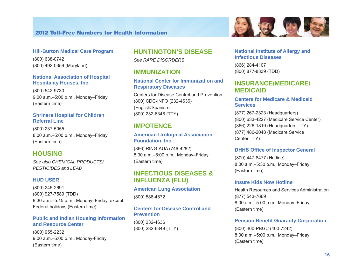

(800) 638-0742 (800) 492-0359 (Maryland)

#### **National Association of Hospital Hospitality Houses, Inc.**

(800) 542-9730 9:00 a.m.–5:00 p.m., Monday–Friday (Eastern time)

#### **Shriners Hospital for Children Referral Line**

(800) 237-5055 8:00 a.m.–5:00 p.m., Monday–Friday (Eastern time)

### **HOUSING**

*See also CHEMICAL PRODUCTS/ PESTICIDES and LEAD* 

#### **HUD USER**

(800) 245-2691 (800) 927-7589 (TDD) 8:30 a.m.–5:15 p.m., Monday–Friday, except Federal holidays (Eastern time)

#### **Public and Indian Housing Information and Resource Center**

(800) 955-2232 9:00 a.m.–5:00 p.m., Monday-Friday (Eastern time)

### **HUNTINGTON'S DISEASE**

*See RARE DISORDERS* 

### **IMMUNIZATION**

#### **National Center for Immunization and Respiratory Diseases**

Centers for Disease Control and Prevention (800) CDC-INFO (232-4636) (English/Spanish) (800) 232-6348 (TTY)

### **IMPOTENCE**

#### **American Urological Association Foundation, Inc.**

(866) RING-AUA (746-4282) 8:30 a.m.–5:00 p.m., Monday–Friday (Eastern time)

### **INFECTIOUS DISEASES & INFLUENZA (FLU)**

### **American Lung Association**  (800) 586-4872

### **Centers for Disease Control and Prevention**

(800) 232-4636 (800) 232-6348 (TTY)

#### **National Institute of Allergy and Infectious Diseases**

5、 15 日 3

(866) 284-4107 (800) 877-8339 (TDD)

### **INSURANCE/MEDICARE/ MEDICAID**

### **Centers for Medicare & Medicaid Services**

(877) 267-2323 (Headquarters) (800) 633-4227 (Medicare Service Center) (866) 226-1819 (Headquarters TTY) (877) 486-2048 (Medicare Service Center TTY)

#### **DHHS Office of Inspector General**

(800) 447-8477 (Hotline) 8:00 a.m.–5:30 p.m., Monday–Friday (Eastern time)

#### **Insure Kids Now Hotline**

Health Resources and Services Administration (877) 543-7669 8:00 a.m.–5:00 p.m., Monday–Friday (Eastern time)

#### **Pension Benefit Guaranty Corporation**

(800) 400-PBGC (400-7242) 8:00 a.m.–5:00 p.m., Monday–Friday (Eastern time)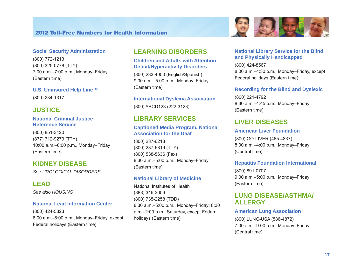#### **Social Security Administration**

(800) 772-1213 (800) 325-0778 (TTY) 7:00 a.m.–7:00 p.m., Monday–Friday (Eastern time)

**U.S. Uninsured Help Line™** 

(800) 234-1317

### **JUSTICE**

#### **National Criminal Justice Reference Service**

(800) 851-3420 (877) 712-9279 (TTY) 10:00 a.m.–6:00 p.m., Monday–Friday (Eastern time)

### **KIDNEY DISEASE**

*See UROLOGICAL DISORDERS* 

### **LEAD**

*See also HOUSING* 

#### **National Lead Information Center**

(800) 424-5323 8:00 a.m.–6:00 p.m., Monday–Friday, except Federal holidays (Eastern time)

## **LEARNING DISORDERS**

#### **Children and Adults with Attention Deficit/Hyperactivity Disorders**

(800) 233-4050 (English/Spanish) 9:00 a.m.–5:00 p.m., Monday–Friday (Eastern time)

### **International Dyslexia Association**

(800) ABCD123 (222-3123)

### **LIBRARY SERVICES**

#### **Captioned Media Program, National Association for the Deaf**

(800) 237-6213 (800) 237-6819 (TTY) (800) 538-5636 (Fax) 8:30 a.m.–5:00 p.m., Monday–Friday (Eastern time)

#### **National Library of Medicine**

National Institutes of Health (888) 346-3656 (800) 735-2258 (TDD) 8:30 a.m.–5:00 p.m., Monday–Friday; 8:30 a.m.–2:00 p.m., Saturday, except Federal holidays (Eastern time)

#### **National Library Service for the Blind and Physically Handicapped**

(800) 424-8567 8:00 a.m.–4:30 p.m., Monday–Friday, except Federal holidays (Eastern time)

#### **Recording for the Blind and Dyslexic**

(800) 221-4792 8:30 a.m.–4:45 p.m., Monday–Friday (Eastern time)

### **LIVER DISEASES**

#### **American Liver Foundation**

(800) GO-LIVER (465-4837) 8:00 a.m.–4:00 p.m., Monday–Friday (Central time)

#### **Hepatitis Foundation International**

(800) 891-0707 9:00 a.m.–5:00 p.m., Monday–Friday (Eastern time)

### **LUNG DISEASE/ASTHMA/ ALLERGY**

#### **American Lung Association**

(800) LUNG-USA (586-4872) 7:00 a.m.–9:00 p.m., Monday–Friday (Central time)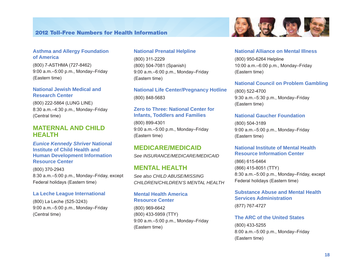#### **Asthma and Allergy Foundation of America**

(800) 7-ASTHMA (727-8462) 9:00 a.m.–5:00 p.m., Monday–Friday (Eastern time)

#### **National Jewish Medical and Research Center**

(800) 222-5864 (LUNG LINE) 8:30 a.m.–4:30 p.m., Monday–Friday (Central time)

### **MATERNAL AND CHILD HEALTH**

*Eunice Kennedy Shriver* **National Institute of Child Health and Human Development Information Resource Center** 

(800) 370-2943 8:30 a.m.–5:00 p.m., Monday–Friday, except Federal holidays (Eastern time)

#### **La Leche League International**

(800) La Leche (525-3243) 9:00 a.m.–5:00 p.m., Monday–Friday (Central time)

#### **National Prenatal Helpline**

(800) 311-2229 (800) 504-7081 (Spanish) 9:00 a.m.–6:00 p.m., Monday–Friday (Eastern time)

**National Life Center/Pregnancy Hotline**  (800) 848-5683

#### **Zero to Three: National Center for Infants, Toddlers and Families**

(800) 899-4301 9:00 a.m.–5:00 p.m., Monday–Friday (Eastern time)

### **MEDICARE/MEDICAID**

*See INSURANCE/MEDICARE/MEDICAID* 

### **MENTAL HEALTH**

*See also CHILD ABUSE/MISSING CHILDREN/CHILDREN'S MENTAL HEALTH* 

**Mental Health America Resource Center** 

(800) 969-6642 (800) 433-5959 (TTY) 9:00 a.m.–5:00 p.m., Monday–Friday (Eastern time)

#### **National Alliance on Mental Illness**

9、19 日号

(800) 950-6264 Helpline 10:00 a.m.–6:00 p.m., Monday–Friday (Eastern time)

#### **National Council on Problem Gambling**

(800) 522-4700 9:30 a.m.–5:30 p.m., Monday–Friday (Eastern time)

#### **National Gaucher Foundation**

(800) 504-3189 9:00 a.m.–5:00 p.m., Monday–Friday (Eastern time)

#### **National Institute of Mental Health Resource Information Center**

(866) 615-6464 (866) 415-8051 (TTY) 8:30 a.m.–5:00 p.m., Monday–Friday, except Federal holidays (Eastern time)

#### **Substance Abuse and Mental Health Services Administration**

(877) 767-4727

#### **The ARC of the United States**

(800) 433-5255 8:00 a.m.–5:00 p.m., Monday–Friday (Eastern time)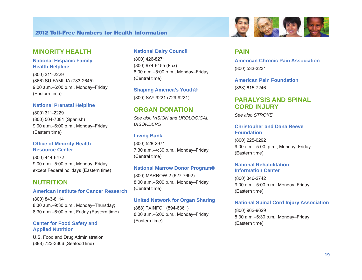### **MINORITY HEALTH**

#### **National Hispanic Family Health Helpline**

(800) 311-2229 (866) SU-FAMILIA (783-2645) 9:00 a.m.–6:00 p.m., Monday–Friday (Eastern time)

#### **National Prenatal Helpline**

(800) 311-2229 (800) 504-7081 (Spanish) 9:00 a.m.–6:00 p.m., Monday–Friday (Eastern time)

#### **Office of Minority Health Resource Center**

(800) 444-6472 9:00 a.m.–5:00 p.m., Monday–Friday, except Federal holidays (Eastern time)

### **NUTRITION**

#### **American Institute for Cancer Research**

(800) 843-8114 8:30 a.m.–9:30 p.m., Monday–Thursday; 8:30 a.m.–6:00 p.m., Friday (Eastern time)

#### **Center for Food Safety and Applied Nutrition**

U.S. Food and Drug Administration (888) 723-3366 (Seafood line)

#### **National Dairy Council**

(800) 426-8271 (800) 974-6455 (Fax) 8:00 a.m.–5:00 p.m., Monday–Friday (Central time)

**Shaping America's Youth®**  (800) SAY-9221 (729-9221)

### **ORGAN DONATION**

*See also VISION and UROLOGICAL DISORDERS* 

#### **Living Bank**

(800) 528-2971 7:30 a.m.–4:30 p.m., Monday–Friday (Central time)

#### **National Marrow Donor Program®**

(800) MARROW-2 (627-7692) 8:00 a.m.–5:00 p.m., Monday–Friday (Central time)

#### **United Network for Organ Sharing**

(888) TXINFO1 (894-6361) 8:00 a.m.–6:00 p.m., Monday–Friday (Eastern time)



### **PAIN**

**American Chronic Pain Association**  (800) 533-3231

**American Pain Foundation**  (888) 615-7246

### **PARALYSIS AND SPINAL CORD INJURY**

*See also STROKE* 

#### **Christopher and Dana Reeve Foundation**

(800) 225-0292 9:00 a.m.–5:00 p.m., Monday–Friday (Eastern time)

#### **National Rehabilitation Information Center**

(800) 346-2742 9:00 a.m.–5:00 p.m., Monday–Friday (Eastern time)

#### **National Spinal Cord Injury Association**

(800) 962-9629 8:30 a.m.–5:30 p.m., Monday–Friday (Eastern time)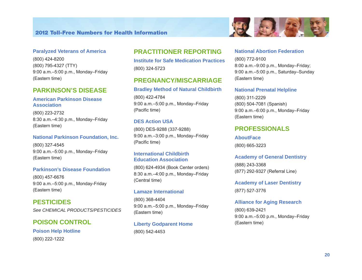#### **Paralyzed Veterans of America**

(800) 424-8200 (800) 795-4327 (TTY) 9:00 a.m.–5:00 p.m., Monday–Friday (Eastern time)

### **PARKINSON'S DISEASE**

#### **American Parkinson Disease Association**

(800) 223-2732 8:30 a.m.–4:30 p.m., Monday–Friday (Eastern time)

#### **National Parkinson Foundation, Inc.**

(800) 327-4545 9:00 a.m.–5:00 p.m., Monday–Friday (Eastern time)

#### **Parkinson's Disease Foundation**

(800) 457-6676 9:00 a.m.–5:00 p.m., Monday-Friday (Eastern time)

**PESTICIDES**  *See CHEMICAL PRODUCTS/PESTICIDES* 

### **POISON CONTROL**

**Poison Help Hotline**  (800) 222-1222

### **PRACTITIONER REPORTING**

**Institute for Safe Medication Practices**  (800) 324-5723

### **PREGNANCY/MISCARRIAGE**

#### **Bradley Method of Natural Childbirth**

(800) 422-4784 9:00 a.m.–5:00 p.m., Monday–Friday (Pacific time)

#### **DES Action USA**

(800) DES-9288 (337-9288) 9:00 a.m.–3:00 p.m., Monday–Friday (Pacific time)

#### **International Childbirth Education Association**

(800) 624-4934 (Book Center orders) 8:30 a.m.–4:00 p.m., Monday–Friday (Central time)

#### **Lamaze International**

(800) 368-4404 9:00 a.m.–5:00 p.m., Monday–Friday (Eastern time)

### **Liberty Godparent Home**  (800) 542-4453

#### **National Abortion Federation**

(800) 772-9100 8:00 a.m.–9:00 p.m., Monday–Friday; 9:00 a.m.–5:00 p.m., Saturday–Sunday (Eastern time)

#### **National Prenatal Helpline**

(800) 311-2229 (800) 504-7081 (Spanish) 9:00 a.m.–6:00 p.m., Monday–Friday (Eastern time)

### **PROFESSIONALS**

#### **AboutFace**

(800) 665-3223

#### **Academy of General Dentistry**

(888) 243-3368 (877) 292-9327 (Referral Line)

# **Academy of Laser Dentistry**

(877) 527-3776

#### **Alliance for Aging Research**

(800) 639-2421 9:00 a.m.–5:00 p.m., Monday–Friday (Eastern time)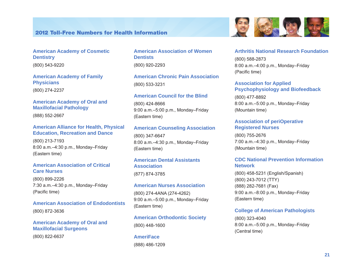

**American Academy of Family Physicians**  (800) 274-2237

#### **American Academy of Oral and Maxillofacial Pathology**

(888) 552-2667

#### **American Alliance for Health, Physical Education, Recreation and Dance**

(800) 213-7193 8:00 a.m.–4:30 p.m., Monday–Friday (Eastern time)

#### **American Association of Critical Care Nurses**

(800) 899-2226 7:30 a.m.–4:30 p.m., Monday–Friday (Pacific time)

**American Association of Endodontists**  (800) 872-3636

#### **American Academy of Oral and Maxillofacial Surgeons**  (800) 822-6637

**American Association of Women Dentists**  (800) 920-2293

**American Chronic Pain Association**  (800) 533-3231

#### **American Council for the Blind**

(800) 424-8666 9:00 a.m.–5:00 p.m., Monday–Friday (Eastern time)

#### **American Counseling Association**

(800) 347-6647 8:00 a.m.–4:30 p.m., Monday–Friday (Eastern time)

## **American Dental Assistants Association**

(877) 874-3785

#### **American Nurses Association**

(800) 274-4ANA (274-4262) 9:00 a.m.–5:00 p.m., Monday–Friday (Eastern time)

### **American Orthodontic Society**

(800) 448-1600

**AmeriFace**  (888) 486-1209

#### **Arthritis National Research Foundation**

(800) 588-2873 8:00 a.m.–4:00 p.m., Monday–Friday (Pacific time)

#### **Association for Applied Psychophysiology and Biofeedback**

(800) 477-8892 8:00 a.m.–5:00 p.m., Monday–Friday (Mountain time)

#### **Association of periOperative Registered Nurses**

(800) 755-2676 7:00 a.m.–4:30 p.m., Monday–Friday (Mountain time)

#### **CDC National Prevention Information Network**

(800) 458-5231 (English/Spanish) (800) 243-7012 (TTY) (888) 282-7681 (Fax) 9:00 a.m.–8:00 p.m., Monday–Friday (Eastern time)

#### **College of American Pathologists**

(800) 323-4040 8:00 a.m.–5:00 p.m., Monday–Friday (Central time)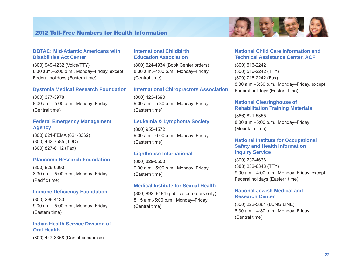

#### **DBTAC: Mid-Atlantic Americans with Disabilities Act Center**

(800) 949-4232 (Voice/TTY) 8:30 a.m.–5:00 p.m., Monday–Friday, except Federal holidays (Eastern time)

#### **Dystonia Medical Research Foundation**

(800) 377-3978 8:00 a.m.–5:00 p.m., Monday–Friday (Central time)

#### **Federal Emergency Management Agency**

(800) 621-FEMA (621-3362) (800) 462-7585 (TDD) (800) 827-8112 (Fax)

#### **Glaucoma Research Foundation**

(800) 826-6693 8:30 a.m.–5:00 p.m., Monday–Friday (Pacific time)

#### **Immune Deficiency Foundation**

(800) 296-4433 9:00 a.m.–5:00 p.m., Monday–Friday (Eastern time)

#### **Indian Health Service Division of Oral Health**

(800) 447-3368 (Dental Vacancies)

#### **International Childbirth Education Association**

(800) 624-4934 (Book Center orders) 8:30 a.m.–4:00 p.m., Monday–Friday (Central time)

#### **International Chiropractors Association**

(800) 423-4690 9:00 a.m.–5:30 p.m., Monday–Friday (Eastern time)

#### **Leukemia & Lymphoma Society**

(800) 955-4572 9:00 a.m.–6:00 p.m., Monday–Friday (Eastern time)

#### **Lighthouse International**

(800) 829-0500 9:00 a.m.–5:00 p.m., Monday–Friday (Eastern time)

#### **Medical Institute for Sexual Health**

(800) 892–9484 (publication orders only) 8:15 a.m.-5:00 p.m., Monday–Friday (Central time)

#### **National Child Care Information and Technical Assistance Center, ACF**

(800) 616-2242 (800) 516-2242 (TTY) (800) 716-2242 (Fax) 8:30 a.m.–5:30 p.m., Monday–Friday, except Federal holidays (Eastern time)

#### **National Clearinghouse of Rehabilitation Training Materials**

(866) 821-5355 8:00 a.m.–5:00 p.m., Monday–Friday (Mountain time)

#### **National Institute for Occupational Safety and Health Information Inquiry Service**

(800) 232-4636 (888) 232-6348 (TTY) 9:00 a.m.–4:00 p.m., Monday–Friday, except Federal holidays (Eastern time)

#### **National Jewish Medical and Research Center**

(800) 222-5864 (LUNG LINE) 8:30 a.m.–4:30 p.m., Monday–Friday (Central time)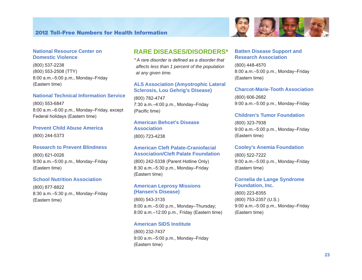



(800) 537-2238 (800) 553-2508 (TTY) 8:00 a.m.–5:00 p.m., Monday–Friday (Eastern time)

#### **National Technical Information Service**

(800) 553-6847 8:00 a.m.–6:00 p.m., Monday–Friday, except Federal holidays (Eastern time)

#### **Prevent Child Abuse America**

(800) 244-5373

#### **Research to Prevent Blindness**

(800) 621-0026 9:00 a.m.–5:00 p.m., Monday–Friday (Eastern time)

#### **School Nutrition Association**

(800) 877-8822 8:30 a.m.–5:30 p.m., Monday–Friday (Eastern time)

### **RARE DISEASES/DISORDERS\***

*\* A rare disorder is defined as a disorder that affects less than 1 percent of the population at any given time.* 

#### **ALS Association (Amyotrophic Lateral Sclerosis, Lou Gehrig's Disease)**

(800) 782-4747 7:30 a.m.–4:00 p.m., Monday–Friday (Pacific time)

### **American Behcet's Disease Association**

(800) 723-4238

#### **American Cleft Palate-Craniofacial Association/Cleft Palate Foundation**

(800) 242-5338 (Parent Hotline Only) 8:30 a.m.–5:30 p.m., Monday–Friday (Eastern time)

#### **American Leprosy Missions (Hansen's Disease)**

(800) 543-3135 8:00 a.m.–5:00 p.m., Monday–Thursday; 8:00 a.m.–12:00 p.m., Friday (Eastern time)

#### **American SIDS Institute**

(800) 232-7437 9:00 a.m.–5:00 p.m., Monday–Friday (Eastern time)

#### **Batten Disease Support and Research Association**

(800) 448-4570 8:00 a.m.–5:00 p.m., Monday–Friday (Eastern time)

4月19月

#### **Charcot-Marie-Tooth Association**

(800) 606-2682 9:00 a.m.–5:00 p.m., Monday–Friday

#### **Children's Tumor Foundation**

(800) 323-7938 9:00 a.m.–5:00 p.m., Monday–Friday (Eastern time)

#### **Cooley's Anemia Foundation**

(800) 522-7222 9:00 a.m.–5:00 p.m., Monday–Friday (Eastern time)

#### **Cornelia de Lange Syndrome Foundation, Inc.**

(800) 223-8355 (800) 753-2357 (U.S.) 9:00 a.m.–5:00 p.m., Monday–Friday (Eastern time)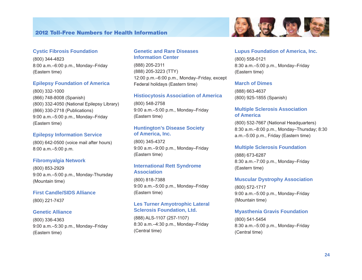

(800) 344-4823 8:00 a.m.–6:00 p.m., Monday–Friday (Eastern time)

#### **Epilepsy Foundation of America**

(800) 332-1000 (866) 748-8008 (Spanish) (800) 332-4050 (National Epilepsy Library) (866) 330-2718 (Publications) 9:00 a.m.–5:00 p.m., Monday–Friday (Eastern time)

#### **Epilepsy Information Service**

(800) 642-0500 (voice mail after hours) 8:00 a.m.–5:00 p.m.

#### **Fibromyalgia Network**

(800) 853-2929 9:00 a.m.–5:00 p.m., Monday-Thursday (Mountain time)

#### **First Candle/SIDS Alliance**

(800) 221-7437

#### **Genetic Alliance**

(800) 336-4363 9:00 a.m.–5:30 p.m., Monday–Friday (Eastern time)

#### **Genetic and Rare Diseases Information Center**

(888) 205-2311 (888) 205-3223 (TTY) 12:00 p.m.–6:00 p.m., Monday–Friday, except Federal holidays (Eastern time)

#### **Histiocytosis Association of America**

(800) 548-2758 9:00 a.m.–5:00 p.m., Monday–Friday (Eastern time)

#### **Huntington's Disease Society of America, Inc.**

(800) 345-4372 9:00 a.m.–9:00 p.m., Monday–Friday (Eastern time)

#### **International Rett Syndrome Association**

(800) 818-7388 9:00 a.m.–5:00 p.m., Monday–Friday (Eastern time)

#### **Les Turner Amyotrophic Lateral Sclerosis Foundation, Ltd.**

(888) ALS-1107 (257-1107) 8:30 a.m.–4:30 p.m., Monday–Friday (Central time)

#### **Lupus Foundation of America, Inc.**

5、野 日

(800) 558-0121 8:30 a.m.–5:00 p.m., Monday–Friday (Eastern time)

#### **March of Dimes**

(888) 663-4637 (800) 925-1855 (Spanish)

#### **Multiple Sclerosis Association of America**

(800) 532-7667 (National Headquarters) 8:30 a.m.–8:00 p.m., Monday–Thursday; 8:30 a.m.–5:00 p.m., Friday (Eastern time)

#### **Multiple Sclerosis Foundation**

(888) 673-6287 8:30 a.m.–7:00 p.m., Monday–Friday (Eastern time)

#### **Muscular Dystrophy Association**

(800) 572-1717 9:00 a.m.–5:00 p.m., Monday–Friday (Mountain time)

#### **Myasthenia Gravis Foundation**

(800) 541-5454 8:30 a.m.–5:00 p.m., Monday–Friday (Central time)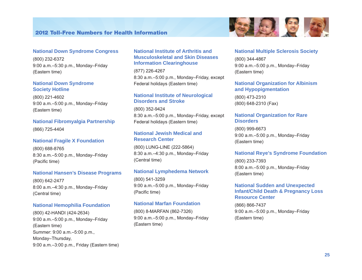



#### **National Down Syndrome Congress**

(800) 232-6372 9:00 a.m.–5:30 p.m., Monday–Friday (Eastern time)

#### **National Down Syndrome Society Hotline**

(800) 221-4602 9:00 a.m.–5:00 p.m., Monday–Friday (Eastern time)

#### **National Fibromyalgia Partnership**

(866) 725-4404

#### **National Fragile X Foundation**

(800) 688-8765 8:30 a.m.–5:00 p.m., Monday–Friday (Pacific time)

#### **National Hansen's Disease Programs**

(800) 642-2477 8:00 a.m.–4:30 p.m., Monday–Friday (Central time)

#### **National Hemophilia Foundation**

(800) 42-HANDI (424-2634) 9:00 a.m.–5:00 p.m., Monday–Friday (Eastern time) Summer: 9:00 a.m.–5:00 p.m., Monday–Thursday, 9:00 a.m.–3:00 p.m., Friday (Eastern time)

#### **National Institute of Arthritis and Musculoskeletal and Skin Diseases Information Clearinghouse**

(877) 226-4267 8:30 a.m.–5:00 p.m., Monday–Friday, except Federal holidays (Eastern time)

#### **National Institute of Neurological Disorders and Stroke**

(800) 352-9424 8:30 a.m.–5:00 p.m., Monday–Friday, except Federal holidays (Eastern time)

#### **National Jewish Medical and Research Center**

(800) LUNG-LINE (222-5864) 8:30 a.m.–4:30 p.m., Monday–Friday (Central time)

#### **National Lymphedema Network**

(800) 541-3259 9:00 a.m.–5:00 p.m., Monday–Friday (Pacific time)

#### **National Marfan Foundation**

(800) 8-MARFAN (862-7326) 9:00 a.m.–5:00 p.m., Monday–Friday (Eastern time)

#### **National Multiple Sclerosis Society**

(800) 344-4867 9:00 a.m.–5:00 p.m., Monday–Friday (Eastern time)

#### **National Organization for Albinism and Hypopigmentation**

(800) 473-2310 (800) 648-2310 (Fax)

#### **National Organization for Rare Disorders**

(800) 999-6673 9:00 a.m.–5:00 p.m., Monday–Friday (Eastern time)

#### **National Reye's Syndrome Foundation**

(800) 233-7393 8:00 a.m.–5:00 p.m., Monday–Friday (Eastern time)

#### **National Sudden and Unexpected Infant/Child Death & Pregnancy Loss Resource Center**

(866) 866-7437 9:00 a.m.–5:00 p.m., Monday–Friday (Eastern time)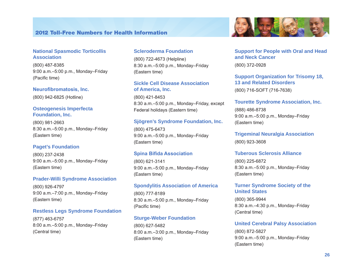#### **National Spasmodic Torticollis Association**

(800) 487-8385 9:00 a.m.–5:00 p.m., Monday–Friday (Pacific time)

#### **Neurofibromatosis, Inc.**

(800) 942-6825 (Hotline)

#### **Osteogenesis Imperfecta Foundation, Inc.**

(800) 981-2663 8:30 a.m.–5:00 p.m., Monday–Friday (Eastern time)

#### **Paget's Foundation**

(800) 237-2438 9:00 a.m.–5:00 p.m., Monday–Friday (Eastern time)

#### **Prader-Willi Syndrome Association**

(800) 926-4797 9:00 a.m.–7:00 p.m., Monday–Friday (Eastern time)

#### **Restless Legs Syndrome Foundation**

(877) 463-6757 8:00 a.m.–5:00 p.m., Monday–Friday (Central time)

#### **Scleroderma Foundation**

(800) 722-4673 (Helpline) 8:30 a.m.–5:00 p.m., Monday–Friday (Eastern time)

#### **Sickle Cell Disease Association of America, Inc.**

(800) 421-8453 8:30 a.m.–5:00 p.m., Monday–Friday, except Federal holidays (Eastern time)

#### **Sjögren's Syndrome Foundation, Inc.**

(800) 475-6473 9:00 a.m.–5:00 p.m., Monday–Friday (Eastern time)

#### **Spina Bifida Association**

(800) 621-3141 9:00 a.m.–5:00 p.m., Monday–Friday (Eastern time)

#### **Spondylitis Association of America**

(800) 777-8189 8:30 a.m.–5:00 p.m., Monday–Friday (Pacific time)

#### **Sturge-Weber Foundation**

(800) 627-5482 8:00 a.m.–3:00 p.m., Monday–Friday (Eastern time)



### **Support for People with Oral and Head and Neck Cancer**

(800) 372-0928

### **Support Organization for Trisomy 18, 13 and Related Disorders**

(800) 716-SOFT (716-7638)

#### **Tourette Syndrome Association, Inc.**

(888) 486-8738 9:00 a.m.–5:00 p.m., Monday–Friday (Eastern time)

**Trigeminal Neuralgia Association**  (800) 923-3608

#### **Tuberous Sclerosis Alliance**

(800) 225-6872 8:30 a.m.–5:00 p.m., Monday–Friday (Eastern time)

#### **Turner Syndrome Society of the United States**

(800) 365-9944 8:30 a.m.–4:30 p.m., Monday–Friday (Central time)

#### **United Cerebral Palsy Association**

(800) 872-5827 9:00 a.m.–5:00 p.m., Monday–Friday (Eastern time)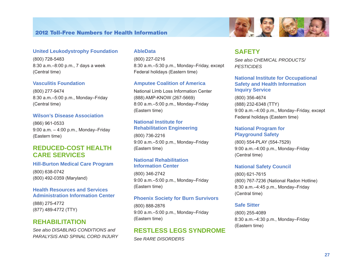#### **United Leukodystrophy Foundation**

(800) 728-5483 8:30 a.m.–8:00 p.m., 7 days a week (Central time)

#### **Vasculitis Foundation**

(800) 277-9474 8:30 a.m.–5:00 p.m., Monday–Friday (Central time)

#### **Wilson's Disease Association**

(866) 961-0533 9:00 a.m. – 4:00 p.m., Monday–Friday (Eastern time)

### **REDUCED-COST HEALTH CARE SERVICES**

#### **Hill-Burton Medical Care Program**

(800) 638-0742 (800) 492-0359 (Maryland)

#### **Health Resources and Services Administration Information Center**

(888) 275-4772 (877) 489-4772 (TTY)

### **REHABILITATION**

*See also DISABLING CONDITIONS and PARALYSIS AND SPINAL CORD INJURY* 

#### **AbleData**

(800) 227-0216 8:30 a.m.–5:30 p.m., Monday–Friday, except Federal holidays (Eastern time)

#### **Amputee Coalition of America**

National Limb Loss Information Center (888) AMP-KNOW (267-5669) 8:00 a.m.–5:00 p.m., Monday–Friday (Eastern time)

#### **National Institute for Rehabilitation Engineering**

(800) 736-2216 9:00 a.m.–5:00 p.m., Monday–Friday (Eastern time)

#### **National Rehabilitation Information Center**

(800) 346-2742 9:00 a.m.–5:00 p.m., Monday–Friday (Eastern time)

#### **Phoenix Society for Burn Survivors**

(800) 888-2876 9:00 a.m.–5:00 p.m., Monday–Friday (Eastern time)

### **RESTLESS LEGS SYNDROME**

*See RARE DISORDERS* 

#### **SAFETY**

*See also CHEMICAL PRODUCTS/ PESTICIDES* 

#### **National Institute for Occupational Safety and Health Information Inquiry Service**

(800) 356-4674 (888) 232-6348 (TTY) 9:00 a.m.–4:00 p.m., Monday–Friday, except Federal holidays (Eastern time)

#### **National Program for Playground Safety**

(800) 554-PLAY (554-7529) 9:00 a.m.–4:00 p.m., Monday–Friday (Central time)

#### **National Safety Council**

(800) 621-7615 (800) 767-7236 (National Radon Hotline) 8:30 a.m.–4:45 p.m., Monday–Friday (Central time)

#### **Safe Sitter**

(800) 255-4089 8:30 a.m.–4:30 p.m., Monday–Friday (Eastern time)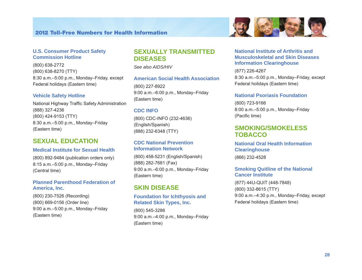

#### **U.S. Consumer Product Safety Commission Hotline**

(800) 638-2772 (800) 638-8270 (TTY) 8:30 a.m.–5:00 p.m., Monday–Friday, except Federal holidays (Eastern time)

#### **Vehicle Safety Hotline**

National Highway Traffic Safety Administration (888) 327-4236 (800) 424-9153 (TTY) 8:30 a.m.–5:00 p.m., Monday–Friday (Eastern time)

### **SEXUAL EDUCATION**

#### **Medical Institute for Sexual Health**

(800) 892-9484 (publication orders only) 8:15 a.m.–5:00 p.m., Monday–Friday (Central time)

#### **Planned Parenthood Federation of America, Inc.**

(800) 230-7526 (Recording) (800) 669-0156 (Order line) 9:00 a.m.–5:00 p.m., Monday–Friday (Eastern time)

### **SEXUALLY TRANSMITTED DISEASES**

*See also AIDS/HIV* 

#### **American Social Health Association**

(800) 227-8922 9:00 a.m.–6:00 p.m., Monday–Friday (Eastern time)

#### **CDC INFO**

(800) CDC-INFO (232-4636) (English/Spanish) (888) 232-6348 (TTY)

#### **CDC National Prevention Information Network**

(800) 458-5231 (English/Spanish) (888) 282-7681 (Fax) 9:00 a.m.–6:00 p.m., Monday–Friday (Eastern time)

### **SKIN DISEASE**

#### **Foundation for Ichthyosis and Related Skin Types, Inc.**

(800) 545-3286 9:00 a.m.–4:00 p.m., Monday–Friday (Eastern time)

#### **National Institute of Arthritis and Musculoskeletal and Skin Diseases Information Clearinghouse**

(877) 226-4267 8:30 a.m.–5:00 p.m., Monday–Friday, except Federal holidays (Eastern time)

#### **National Psoriasis Foundation**

(800) 723-9166 8:00 a.m.–5:00 p.m., Monday–Friday (Pacific time)

### **SMOKING/SMOKELESS TOBACCO**

#### **National Oral Health Information Clearinghouse**

(866) 232-4528

#### **Smoking Quitline of the National Cancer Institute**

(877) 44U-QUIT (448-7848) (800) 332-8615 (TTY) 9:00 a.m.–4:30 p.m., Monday–Friday, except Federal holidays (Eastern time)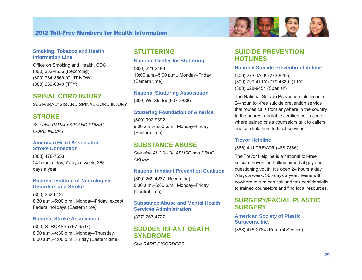#### **Smoking, Tobacco and Health Information Line**

Office on Smoking and Health, CDC (800) 232-4636 (Recording) (800) 784-8669 (QUIT NOW) (888) 232-6348 (TTY)

#### **SPINAL CORD INJURY**

See PARALYSIS AND SPINAL CORD INJURY

### **STROKE**

*See also PARALYSIS AND SPINAL CORD INJURY* 

#### **American Heart Association Stroke Connection**

(888) 478-7653 24 hours a day, 7 days a week, 365 days a year

#### **National Institute of Neurological Disorders and Stroke**

(800) 352-9424 8:30 a.m.–5:00 p.m., Monday–Friday, except Federal holidays (Eastern time)

#### **National Stroke Association**

(800) STROKES (787-6537) 8:00 a.m.–4:30 p.m., Monday–Thursday, 8:00 a.m.–4:00 p.m., Friday (Eastern time)

### **STUTTERING**

#### **National Center for Stuttering**

(800) 221-2483 10:00 a.m.–5:00 p.m., Monday–Friday (Eastern time)

#### **National Stuttering Association**

(800) We Stutter (937-8888)

#### **Stuttering Foundation of America**

(800) 992-9392 9:00 a.m.–5:00 p.m., Monday–Friday (Eastern time)

### **SUBSTANCE ABUSE**

*See also ALCOHOL ABUSE and DRUG ABUSE* 

#### **National Inhalant Prevention Coalition**

(800) 269-4237 (Recording) 8:00 a.m.–6:00 p.m., Monday–Friday (Central time)

**Substance Abuse and Mental Health Services Administration**  (877) 767-4727

### **SUDDEN INFANT DEATH SYNDROME**

*See RARE DISORDERS* 



### **SUICIDE PREVENTION HOTLINES**

#### **National Suicide Prevention Lifetime**

(800) 273-TALK (273-8255) (800) 799-4TTY (779-4889) (TTY) (888) 628-9454 (Spanish)

The National Suicide Prevention Lifeline is a 24-hour, toll-free suicide prevention service that routes calls from anywhere in the country to the nearest available certified crisis center where trained crisis counselors talk to callers and can link them to local services.

#### **Trevor Helpline**

(866) 4-U-TREVOR (488-7386)

The Trevor Helpline is a national toll-free suicide prevention hotline aimed at gay and questioning youth. It's open 24 hours a day, 7days a week, 365 days a year. Teens with nowhere to turn can call and talk confidentially to trained counselors and find local resources.

### **SURGERY/FACIAL PLASTIC SURGERY**

**American Society of Plastic Surgeons, Inc.** 

(888) 475-2784 (Referral Service)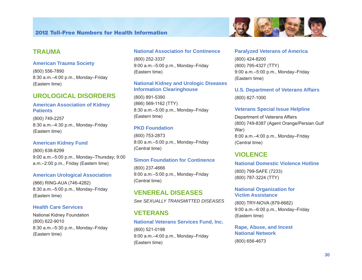

### **TRAUMA**

#### **American Trauma Society**

(800) 556-7890 8:30 a.m.–4:00 p.m., Monday–Friday (Eastern time)

### **UROLOGICAL DISORDERS**

#### **American Association of Kidney Patients**

(800) 749-2257 8:30 a.m.–4:30 p.m., Monday–Friday (Eastern time)

#### **American Kidney Fund**

(800) 638-8299 9:00 a.m.–5:00 p.m., Monday–Thursday; 9:00 a.m.–2:00 p.m., Friday (Eastern time)

#### **American Urological Association**

(866) RING-AUA (746-4282) 8:30 a.m.–5:00 p.m., Monday–Friday (Eastern time)

#### **Health Care Services**

National Kidney Foundation (800) 622-9010 8:30 a.m.–5:30 p.m., Monday–Friday (Eastern time)

#### **National Association for Continence**

(800) 252-3337 9:00 a.m.–5:00 p.m., Monday–Friday (Eastern time)

### **National Kidney and Urologic Diseases Information Clearinghouse**

(800) 891-5390 (866) 569-1162 (TTY) 8:30 a.m.–5:00 p.m., Monday–Friday (Eastern time)

### **PKD Foundation**

(800) 753-2873 8:00 a.m.–5:00 p.m., Monday–Friday (Central time)

#### **Simon Foundation for Continence**

(800) 237-4666 9:00 a.m.–5:00 p.m., Monday–Friday (Central time)

**VENEREAL DISEASES**  *See SEXUALLY TRANSMITTED DISEASES* 

### **VETERANS**

### **National Veterans Services Fund, Inc.**  (800) 521-0198

9:00 a.m.–4:00 p.m., Monday–Friday (Eastern time)

#### **Paralyzed Veterans of America**

(800) 424-8200 (800) 795-4327 (TTY) 9:00 a.m.–5:00 p.m., Monday–Friday (Eastern time)

**U.S. Department of Veterans Affairs**  (800) 827-1000

#### **Veterans Special Issue Helpline**

Department of Veterans Affairs (800) 749-8387 (Agent Orange/Persian Gulf War) 8:00 a.m.–4:00 p.m., Monday–Friday (Central time)

### **VIOLENCE**

#### **National Domestic Violence Hotline**

(800) 799-SAFE (7233) (800) 787-3224 (TTY)

#### **National Organization for Victim Assistance**

(800) TRY-NOVA (879-6682) 9:00 a.m.–6:00 p.m., Monday–Friday (Eastern time)

**Rape, Abuse, and Incest National Network**  (800) 656-4673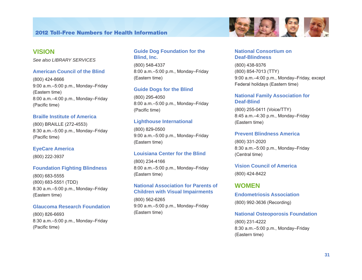### **VISION**

*See also LIBRARY SERVICES* 

#### **American Council of the Blind**

(800) 424-8666 9:00 a.m.–5:00 p.m., Monday–Friday (Eastern time) 8:00 a.m.–4:00 p.m., Monday–Friday (Pacific time)

#### **Braille Institute of America**

(800) BRAILLE (272-4553) 8:30 a.m.–5:00 p.m., Monday–Friday (Pacific time)

#### **EyeCare America**

(800) 222-3937

#### **Foundation Fighting Blindness**

(800) 683-5555 (800) 683-5551 (TDD) 8:30 a.m.–5:00 p.m., Monday–Friday (Eastern time)

#### **Glaucoma Research Foundation**

(800) 826-6693 8:30 a.m.–5:00 p.m., Monday–Friday (Pacific time)

#### **Guide Dog Foundation for the Blind, Inc.**

(800) 548-4337 8:00 a.m.–5:00 p.m., Monday–Friday (Eastern time)

#### **Guide Dogs for the Blind**

(800) 295-4050 8:00 a.m.–5:00 p.m., Monday–Friday (Pacific time)

#### **Lighthouse International**

(800) 829-0500 9:00 a.m.–5:00 p.m., Monday–Friday (Eastern time)

#### **Louisiana Center for the Blind**

(800) 234-4166 8:00 a.m.–5:00 p.m., Monday–Friday (Eastern time)

#### **National Association for Parents of Children with Visual Impairments**

(800) 562-6265 9:00 a.m.–5:00 p.m., Monday–Friday (Eastern time)



#### **National Consortium on Deaf-Blindness**

(800) 438-9376 (800) 854-7013 (TTY) 9:00 a.m.–4:00 p.m., Monday–Friday, except Federal holidays (Eastern time)

#### **National Family Association for Deaf-Blind**

(800) 255-0411 (Voice/TTY) 8:45 a.m.–4:30 p.m., Monday–Friday (Eastern time)

#### **Prevent Blindness America**

(800) 331-2020 8:30 a.m.–5:00 p.m., Monday–Friday (Central time)

# **Vision Council of America**

(800) 424-8422

### **WOMEN**

**Endometriosis Association**  (800) 992-3636 (Recording)

#### **National Osteoporosis Foundation**

(800) 231-4222 8:30 a.m.–5:00 p.m., Monday–Friday (Eastern time)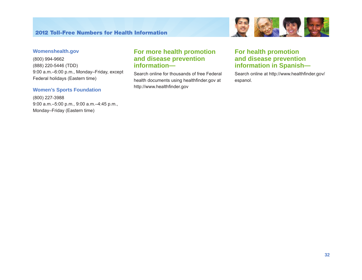

#### **Womenshealth.gov**

(800) 994-9662 (888) 220-5446 (TDD) 9:00 a.m.–6:00 p.m., Monday–Friday, except Federal holidays (Eastern time)

#### **Women's Sports Foundation**

(800) 227-3988 9:00 a.m.–5:00 p.m., 9:00 a.m.–4:45 p.m., Monday–Friday (Eastern time)

### **For more health promotion and disease prevention information—**

Search online for thousands of free Federal health documents using healthfinder.gov at http://www.healthfinder.gov

### **For health promotion and disease prevention information in Spanish—**

Search online at http://www.healthfinder.gov/ espanol.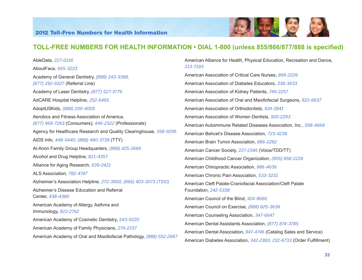

### **TOLL-FREE NUMBERS FOR HEALTH INFORMATION • DIAL 1-800 (unless 855/866/877/888 is specified)**

*213-7193*

AbleData, *227-0216* AboutFace, *665-3223* Academy of General Dentistry, *(888) 243-3368, (877) 292-9327* (Referral Line) Academy of Laser Dentistry, *(877) 527-3776* AdCARE Hospital Helpline, *252-6465*  AdoptUSKids, *(888) 200-4005* Aerobics and Fitness Association of America, *(877) 968-7263* (Consumers); *446-2322* (Professionals) Agency for Healthcare Research and Quality Clearinghouse, *358-9295* AIDS Info, *448-0440; (888) 480-3739* (TTY) Al-Anon Family Group Headquarters, *(888) 425-2666* Alcohol and Drug Helpline, *821-4357* Alliance for Aging Research, *639-2421* ALS Association, *782-4747* Alzheimer's Association Helpline, *272-3900; (866) 403-3073 (TDD)*  Alzheimer's Disease Education and Referral Center, *438-4380* American Academy of Allergy, Asthma and Immunology, *822-2762* American Academy of Cosmetic Dentistry, *543-9220* American Academy of Family Physicians, *274-2237* American Academy of Oral and Maxillofacial Pathology, *(888) 552-2667* American Alliance for Health, Physical Education, Recreation and Dance,

American Association of Critical Care Nurses, *899-2226* American Association of Diabetes Educators, *338-3633* American Association of Kidney Patients, *749-2257* American Association of Oral and Maxillofacial Surgeons, *822-6637*  American Association of Orthodontists, *424-2841* American Association of Women Dentists, *920-2293* American Autoimmune Related Diseases Association, Inc., *598-4668* American Behcet's Disease Association, *723-4238* American Brain Tumor Association, *886-2282* American Cancer Society, *227-2345* (Voice/TDD/TT) American Childhood Cancer Organization, *(855) 858-2226* American Chiropractic Association, *986-4636* American Chronic Pain Association, *533-3231* American Cleft Palate-Craniofacial Association/Cleft Palate Foundation, *242-5338*  American Council of the Blind, *424-8666* American Council on Exercise, *(888) 825-3636* American Counseling Association, *347-6647*

American Dental Association, *947-4746* (Catalog Sales and Service) American Diabetes Association, *342-2383; 232-6733* (Order Fulfillment)

American Dental Assistants Association, *(877) 874-3785*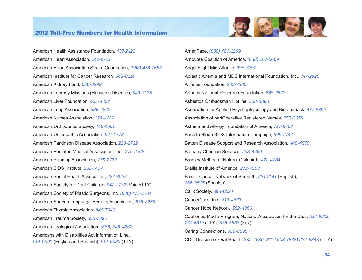

American Health Assistance Foundation, *437-2423* American Heart Association, *242-8721*  American Heart Association Stroke Connection, *(888) 478-7653* American Institute for Cancer Research*, 843-8114*  American Kidney Fund, *638-8299*  American Leprosy Missions (Hansen's Disease), *543-3135* American Liver Foundation, *465-4837* American Lung Association, *586-4872* American Nurses Association, *274-4262* American Orthodontic Society, *448-1601* American Osteopathic Association, *621-1773* American Parkinson Disease Association, *223-2732* American Podiatric Medical Association, Inc., *275-2762* American Running Association, *776-2732* American SIDS Institute, *232-7437*  American Social Health Association, *227-8922* American Society for Deaf Children, *942-2732* (Voice/TTY) American Society of Plastic Surgeons, Inc. *(888) 475-2784*  American Speech-Language-Hearing Association, *638-8255* American Thyroid Association, *849-7643* American Trauma Society, *556-7890* American Urological Association, *(866) 746-4282* Americans with Disabilities Act Information Line, *514-0301* (English and Spanish); *514-0383* (TTY)

AmeriFace, *(888) 486-1209* Amputee Coalition of America, *(888) 267-5669* Angel Flight Mid-Atlantic, *296-3797* Aplastic Anemia and MDS International Foundation, Inc., *747-2820* Arthritis Foundation, *283-7800* Arthritis National Research Foundation, *588-2873* Asbestos Ombudsman Hotline, *368-5888* Association for Applied Psychophysiology and Biofeedback, *477-8892* Association of periOperative Registered Nurses, *755-2676* Asthma and Allergy Foundation of America, *727-8462* Back to Sleep SIDS Information Campaign, *505-2742* Batten Disease Support and Research Association, *448-4570* Bethany Christian Services, *238-4269* Bradley Method of Natural Childbirth, *422-4784*  Braille Institute of America, *272-4553* Breast Cancer Network of Strength, *221-2141* (English); *986-9505* (Spanish) Calix Society, *398-0524* CancerCare, Inc., *813-4673* Cancer Hope Network, *552-4366* Captioned Media Program, National Association for the Deaf, *237-6213; 237-6819* (TTY); *538-5636* (Fax) Caring Connections, *658-8898* CDC Division of Oral Health, *232-4636; 311-1603; (888) 232-6348* (TTY)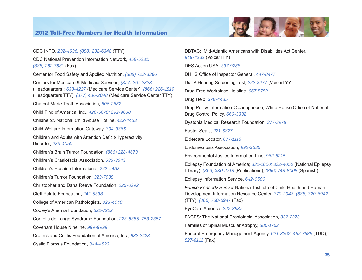

CDC INFO, *232-4636; (888) 232-6348* (TTY) CDC National Prevention Information Network, *458-5231; (888) 282-7681* (Fax) Center for Food Safety and Applied Nutrition, *(888) 723-3366* Centers for Medicare & Medicaid Services, *(877) 267-2323* (Headquarters); *633-4227* (Medicare Service Center); *(866) 226-1819*  (Headquarters TTY); *(877) 486-2048* (Medicare Service Center TTY) Charcot-Marie-Tooth Association, 606-2682 Child Find of America, Inc., *426-5678; 292-9688*  Childhelp® National Child Abuse Hotline, *422-4453*  Child Welfare Information Gateway, *394-3366* Children and Adults with Attention Deficit/Hyperactivity Disorder, *233-4050* Children's Brain Tumor Foundation, *(866) 228-4673* Children's Craniofacial Association, *535-3643*  Children's Hospice International, *242-4453*  Children's Tumor Foundation, *323-7938* Christopher and Dana Reeve Foundation, *225-0292* Cleft Palate Foundation, *242-5338* College of American Pathologists, *323-4040* Cooley's Anemia Foundation, *522-7222* Cornelia de Lange Syndrome Foundation, *223-8355; 753-2357* Covenant House Nineline, *999-9999* Crohn's and Colitis Foundation of America, Inc., *932-2423*  Cystic Fibrosis Foundation, *344-4823*

DBTAC: Mid-Atlantic Americans with Disabilities Act Center, *949-4232* (Voice/TTY) DES Action USA, *337-9288* DHHS Office of Inspector General, *447-8477* Dial A Hearing Screening Test, *222-3277* (Voice/TYY) Drug-Free Workplace Helpline, *967-5752* Drug Help, *378-4435* Drug Policy Information Clearinghouse, White House Office of National Drug Control Policy, *666-3332* Dystonia Medical Research Foundation, *377-3978* Easter Seals, *221-6827* Eldercare Locator, *677-1116* Endometriosis Association, *992-3636* Environmental Justice Information Line, *962-6215*  Epilepsy Foundation of America; *332-1000; 332-4050* (National Epilepsy Library); *(866) 330-2718* (Publications); *(866) 748-8008* (Spanish) Epilepsy Information Service, *642-0500 Eunice Kennedy Shriver* National Institute of Child Health and Human Development Information Resource Center, *370-2943; (888) 320-6942*  (TTY); *(866) 760-5947* (Fax) EyeCare America, *222-3937* FACES: The National Craniofacial Association, *332-2373*  Families of Spinal Muscular Atrophy, *886-1762* Federal Emergency Management Agency, *621-3362; 462-7585* (TDD); *827-8112* (Fax)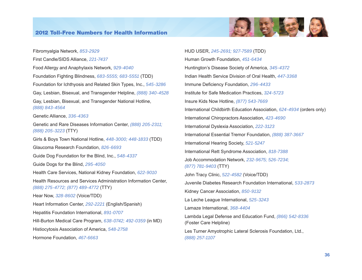

Fibromyalgia Network, *853-2929* First Candle/SIDS Alliance, *221-7437* Food Allergy and Anaphylaxis Network, *929-4040* Foundation Fighting Blindness, *683-5555; 683-5551* (TDD) Foundation for Ichthyosis and Related Skin Types, Inc., *545-3286* Gay, Lesbian, Bisexual, and Transgender Helpline, *(888) 340-4528* Gay, Lesbian, Bisexual, and Transgender National Hotline, *(888) 843-4564* Genetic Alliance, *336-4363* Genetic and Rare Diseases Information Center, *(888) 205-2311; (888) 205-3223* (TTY) Girls & Boys Town National Hotline, *448-3000; 448-1833* (TDD) Glaucoma Research Foundation, *826-6693* Guide Dog Foundation for the Blind, Inc., *548-4337* Guide Dogs for the Blind, *295-4050* Health Care Services, National Kidney Foundation, *622-9010*  Health Resources and Services Administration Information Center, *(888) 275-4772; (877) 489-4772* (TTY) Hear Now, *328-8602* (Voice/TDD) Heart Information Center, *292-2221* (English/Spanish) Hepatitis Foundation International, *891-0707* Hill-Burton Medical Care Program, *638-0742; 492-0359* (in MD) Histiocytosis Association of America, *548-2758* Hormone Foundation, *467-6663*

HUD USER, *245-2691; 927-7589* (TDD) Human Growth Foundation, *451-6434* Huntington's Disease Society of America, *345-4372* Indian Health Service Division of Oral Health, *447-3368* Immune Deficiency Foundation, *296-4433*  Institute for Safe Medication Practices, *324-5723* Insure Kids Now Hotline, *(877) 543-7669* International Childbirth Education Association, *624-4934* (orders only) International Chiropractors Association, *423-4690* International Dyslexia Association, *222-3123* International Essential Tremor Foundation, *(888) 387-3667* International Hearing Society, *521-5247* International Rett Syndrome Association, *818-7388* Job Accommodation Network, *232-9675; 526-7234; (877) 781-9403* (TTY) John Tracy Clinic, *522-4582* (Voice/TDD) Juvenile Diabetes Research Foundation International, *533-2873* Kidney Cancer Association, *850-9132* La Leche League International, *525-3243* Lamaze International, *368-4404* Lambda Legal Defense and Education Fund, *(866) 542-8336*  (Foster Care Helpline) Les Turner Amyotrophic Lateral Sclerosis Foundation, Ltd., *(888) 257-1107*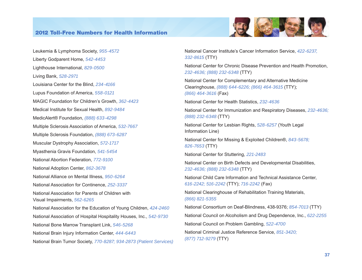

Leukemia & Lymphoma Society, *955-4572* Liberty Godparent Home, *542-4453*  Lighthouse International, *829-0500* Living Bank, *528-2971* Louisiana Center for the Blind, *234-4166* Lupus Foundation of America, *558-0121* MAGIC Foundation for Children's Growth, *362-4423*  Medical Institute for Sexual Health, *892-9484*  MedicAlert® Foundation, *(888) 633-4298*  Multiple Sclerosis Association of America, *532-7667*  Multiple Sclerosis Foundation, *(888) 673-6287* Muscular Dystrophy Association, *572-1717* Myasthenia Gravis Foundation, *541-5454* National Abortion Federation, *772-9100*  National Adoption Center, *862-3678* National Alliance on Mental Illness, *950-6264*  National Association for Continence, *252-3337* National Association for Parents of Children with Visual Impairments, *562-6265*  National Association for the Education of Young Children, *424-2460* National Association of Hospital Hospitality Houses, Inc., *542-9730*  National Bone Marrow Transplant Link, *546-5268* National Brain Injury Information Center, *444-6443* National Brain Tumor Society, *770-8287; 934-2873 (Patient Services)*  National Cancer Institute's Cancer Information Service, *422-6237, 332-8615* (TTY)

National Center for Chronic Disease Prevention and Health Promotion, *232-4636; (888) 232-6348* (TTY)

National Center for Complementary and Alternative Medicine Clearinghouse, *(888) 644-6226; (866) 464-3615* (TTY); *(866) 464-3616* (Fax)

National Center for Health Statistics, *232-4636*

National Center for Immunization and Respiratory Diseases, *232-4636; (888) 232-6348* (TTY)

National Center for Lesbian Rights, *528-6257* (Youth Legal Information Line)

National Center for Missing & Exploited Children®, *843-5678; 826-7653* (TTY)

National Center for Stuttering, *221-2483*

National Center on Birth Defects and Developmental Disabilities, *232-4636; (888) 232-6348* (TTY)

National Child Care Information and Technical Assistance Center, *616-2242; 516-2242* (TTY); *716-2242* (Fax)

National Clearinghouse of Rehabilitation Training Materials, *(866) 821-5355* 

National Consortium on Deaf-Blindness, 438-9376; *854-7013* (TTY) National Council on Alcoholism and Drug Dependence, Inc., *622-2255* National Council on Problem Gambling, *522-4700*  National Criminal Justice Reference Service, *851-3420; (877) 712-9279* (TTY)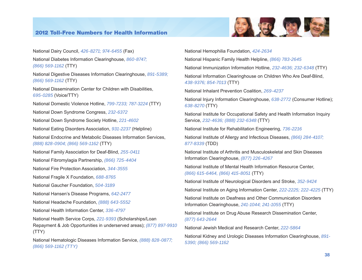

National Dairy Council, *426-8271; 974-6455* (Fax) National Diabetes Information Clearinghouse, *860-8747; (866) 569-1162* (TTY) National Digestive Diseases Information Clearinghouse, *891-5389; (866) 569-1162* (TTY) National Dissemination Center for Children with Disabilities, *695-0285* (Voice/TTY) National Domestic Violence Hotline, *799-7233; 787-3224* (TTY) National Down Syndrome Congress, *232-6372*  National Down Syndrome Society Hotline, *221-4602* National Eating Disorders Association, *931-2237* (Helpline) National Endocrine and Metabolic Diseases Information Services, *(888) 828-0904; (866) 569-1162* (TTY) National Family Association for Deaf-Blind, *255-0411* National Fibromylagia Partnership, *(866) 725-4404* National Fire Protection Association, *344-3555* National Fragile X Foundation, *688-8765* National Gaucher Foundation, *504-3189* National Hansen's Disease Programs, *642-2477*  National Headache Foundation, *(888) 643-5552*  National Health Information Center, *336-4797* National Health Service Corps, *221-9393* (Scholarships/Loan Repayment & Job Opportunities in underserved areas); *(877) 897-9910*  (TTY) National Hematologic Diseases Information Service, *(888) 828-0877; (866) 569-1162 (TTY)* 

National Hemophilia Foundation, *424-2634* National Hispanic Family Health Helpline, *(866) 783-2645* National Immunization Information Hotline, *232-4636; 232-6348* (TTY) National Information Clearinghouse on Children Who Are Deaf-Blind, *438-9376; 854-7013* (TTY) National Inhalant Prevention Coalition, *269-4237* National Injury Information Clearinghouse, *638-2772* (Consumer Hotline); *638-8270* (TTY) National Institute for Occupational Safety and Health Information Inquiry Service, *232-4636; (888) 232-6348* (TTY) National Institute for Rehabilitation Engineering, *736-2216* National Institute of Allergy and Infectious Diseases, *(866) 284-4107; 877-8339* (TDD) National Institute of Arthritis and Musculoskeletal and Skin Diseases Information Clearinghouse, *(877) 226-4267* National Institute of Mental Health Information Resource Center, *(866) 615-6464, (866) 415-8051* (TTY) National Institute of Neurological Disorders and Stroke, *352-9424*  National Institute on Aging Information Center, *222-2225; 222-4225* (TTY) National Institute on Deafness and Other Communication Disorders Information Clearinghouse, *241-1044; 241-1055* (TTY) National Institute on Drug Abuse Research Dissemination Center, *(877) 643-2644* National Jewish Medical and Research Center, *222-5864* National Kidney and Urologic Diseases Information Clearinghouse, *891- 5390; (866) 569-1162*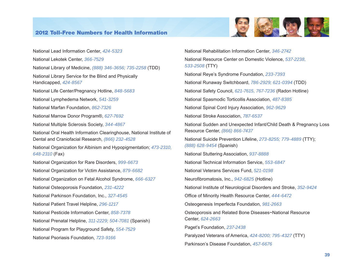

National Lead Information Center, *424-5323* National Lekotek Center, *366-7529* National Library of Medicine, *(888) 346-3656; 735-2258* (TDD) National Library Service for the Blind and Physically Handicapped, *424-8567* National Life Center/Pregnancy Hotline, *848-5683*  National Lymphedema Network, *541-3259* National Marfan Foundation, *862-7326*  National Marrow Donor Program®, *627-7692* National Multiple Sclerosis Society, *344-4867* National Oral Health Information Clearinghouse, National Institute of Dental and Craniofacial Research, *(866) 232-4528* National Organization for Albinism and Hypopigmentation; *473-2310, 648-2310* (Fax) National Organization for Rare Disorders, *999-6673* National Organization for Victim Assistance, *879-6682* National Organization on Fetal Alcohol Syndrome, *666-6327* National Osteoporosis Foundation, *231-4222* National Parkinson Foundation, Inc., *327-4545* National Patient Travel Helpline, *296-1217* National Pesticide Information Center, *858-7378* National Prenatal Helpline, *311-2229; 504-7081* (Spanish) National Program for Playground Safety, *554-7529* National Psoriasis Foundation, *723-9166*

National Rehabilitation Information Center, *346-2742* National Resource Center on Domestic Violence, *537-2238, 533-2508* (TTY) National Reye's Syndrome Foundation, *233-7393* National Runaway Switchboard, *786-2929; 621-0394* (TDD) National Safety Council, *621-7615, 767-7236* (Radon Hotline) National Spasmodic Torticollis Association, *487-8385* National Spinal Cord Injury Association, *962-9629*  National Stroke Association, *787-6537* National Sudden and Unexpected Infant/Child Death & Pregnancy Loss Resource Center, *(866) 866-7437* National Suicide Prevention Lifeline, *273-8255; 779-4889* (TTY); *(888) 628-9454* (Spanish) National Stuttering Association, *937-8888* National Technical Information Service, *553-6847* National Veterans Services Fund, *521-0198* Neurofibromatosis, Inc., *942-6825* (Hotline) National Institute of Neurological Disorders and Stroke, *352-9424* Office of Minority Health Resource Center, *444-6472* Osteogenesis Imperfecta Foundation, *981-2663* Osteoporosis and Related Bone Diseases~National Resource Center, *624-2663* Paget's Foundation, *237-2438* Paralyzed Veterans of America, *424-8200; 795-4327* (TTY) Parkinson's Disease Foundation, *457-6676*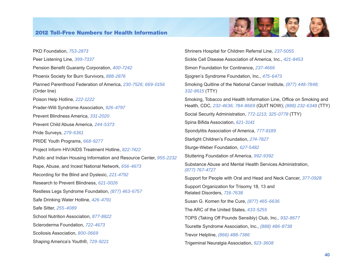

PKD Foundation, *753-2873* Peer Listening Line, *399-7337* Pension Benefit Guaranty Corporation, *400-7242* Phoenix Society for Burn Survivors, *888-2876* Planned Parenthood Federation of America, *230-7526; 669-0156*  (Order line) Poison Help Hotline, *222-1222* Prader-Willi Syndrome Association, *926-4797* Prevent Blindness America, *331-2020* Prevent Child Abuse America, *244-5373* Pride Surveys, *279-6361* PRIDE Youth Programs, *668-9277* Project Inform HIV/AIDS Treatment Hotline, *822-7422* Public and Indian Housing Information and Resource Center, *955-2232* Rape, Abuse, and Incest National Network, *656-4673* Recording for the Blind and Dyslexic, *221-4792* Research to Prevent Blindness, *621-0026* Restless Legs Syndrome Foundation, *(877) 463-6757*  Safe Drinking Water Hotline, *426-4791* Safe Sitter, *255-4089* School Nutrition Association, *877-8822* Scleroderma Foundation, *722-4673*  Scoliosis Association, *800-0669* Shaping America's Youth®, *729-9221*

Shriners Hospital for Children Referral Line, *237-5055* Sickle Cell Disease Association of America, Inc., *421-8453* Simon Foundation for Continence, *237-4666* Sjogren's Syndrome Foundation, Inc., *475-6473* Smoking Quitline of the National Cancer Institute, *(877) 448-7848; 332-8615* (TTY) Smoking, Tobacco and Health Information Line, Office on Smoking and Health, CDC, *232-4636; 784-8669* (QUIT NOW); *(888) 232-6348* (TTY) Social Security Administration, *772-1213; 325-0778* (TTY) Spina Bifida Association, *621-3141* Spondylitis Association of America, *777-8189* Starlight Children's Foundation, *274-7827* Sturge-Weber Foundation, *627-5482* Stuttering Foundation of America, *992-9392* Substance Abuse and Mental Health Services Administration, *(877) 767-4727* Support for People with Oral and Head and Neck Cancer, *377-0928* Support Organization for Trisomy 18, 13 and Related Disorders, *716-7638* Susan G. Komen for the Cure, *(877) 465-6636* The ARC of the United States, *433-5255* TOPS (Taking Off Pounds Sensibly) Club, Inc., *932-8677*  Tourette Syndrome Association, Inc., *(888) 486-8738* Trevor Helpline, *(866) 488-7386* Trigeminal Neuralgia Association, *923-3608*